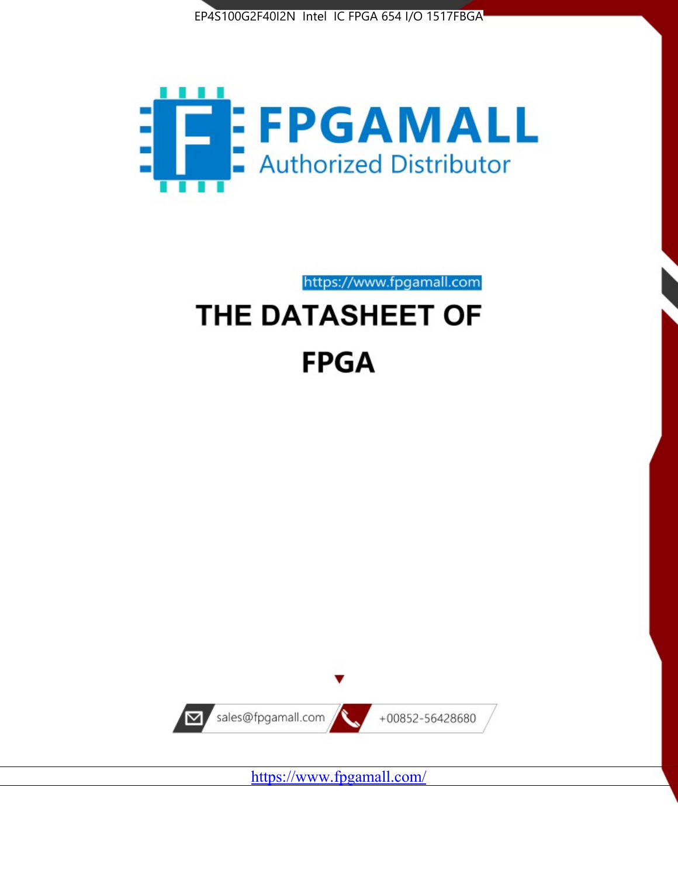



https://www.fpgamall.com

# THE DATASHEET OF **FPGA**



<https://www.fpgamall.com/>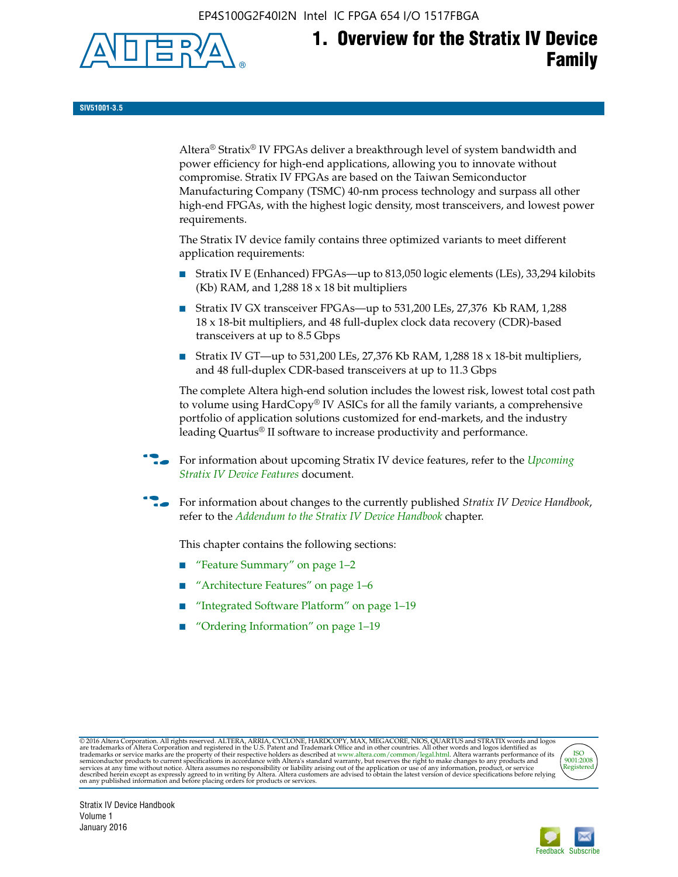EP4S100G2F40I2N Intel IC FPGA 654 I/O 1517FBGA



# **1. Overview for the Stratix IV Device Family**

**SIV51001-3.5**

Altera® Stratix® IV FPGAs deliver a breakthrough level of system bandwidth and power efficiency for high-end applications, allowing you to innovate without compromise. Stratix IV FPGAs are based on the Taiwan Semiconductor Manufacturing Company (TSMC) 40-nm process technology and surpass all other high-end FPGAs, with the highest logic density, most transceivers, and lowest power requirements.

The Stratix IV device family contains three optimized variants to meet different application requirements:

- Stratix IV E (Enhanced) FPGAs—up to 813,050 logic elements (LEs), 33,294 kilobits (Kb) RAM, and 1,288 18 x 18 bit multipliers
- Stratix IV GX transceiver FPGAs—up to 531,200 LEs, 27,376 Kb RAM, 1,288 18 x 18-bit multipliers, and 48 full-duplex clock data recovery (CDR)-based transceivers at up to 8.5 Gbps
- Stratix IV GT—up to 531,200 LEs, 27,376 Kb RAM, 1,288 18 x 18-bit multipliers, and 48 full-duplex CDR-based transceivers at up to 11.3 Gbps

The complete Altera high-end solution includes the lowest risk, lowest total cost path to volume using HardCopy® IV ASICs for all the family variants, a comprehensive portfolio of application solutions customized for end-markets, and the industry leading Quartus® II software to increase productivity and performance.

f For information about upcoming Stratix IV device features, refer to the *[Upcoming](http://www.altera.com/literature/hb/stratix-iv/uf01001.pdf?GSA_pos=2&WT.oss_r=1&WT.oss=upcoming)  [Stratix IV Device Features](http://www.altera.com/literature/hb/stratix-iv/uf01001.pdf?GSA_pos=2&WT.oss_r=1&WT.oss=upcoming)* document.

f For information about changes to the currently published *Stratix IV Device Handbook*, refer to the *[Addendum to the Stratix IV Device Handbook](http://www.altera.com/literature/hb/stratix-iv/stx4_siv54002.pdf)* chapter.

This chapter contains the following sections:

- "Feature Summary" on page 1–2
- "Architecture Features" on page 1–6
- "Integrated Software Platform" on page 1–19
- "Ordering Information" on page 1–19

@2016 Altera Corporation. All rights reserved. ALTERA, ARRIA, CYCLONE, HARDCOPY, MAX, MEGACORE, NIOS, QUARTUS and STRATIX words and logos are trademarks of Altera Corporation and registered in the U.S. Patent and Trademark



Stratix IV Device Handbook Volume 1 January 2016

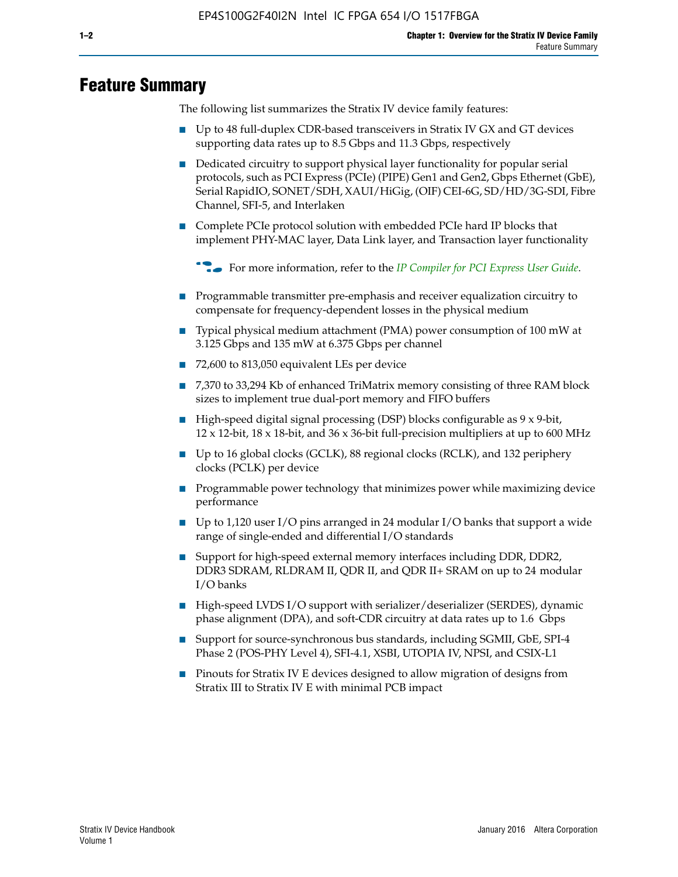# **Feature Summary**

The following list summarizes the Stratix IV device family features:

- Up to 48 full-duplex CDR-based transceivers in Stratix IV GX and GT devices supporting data rates up to 8.5 Gbps and 11.3 Gbps, respectively
- Dedicated circuitry to support physical layer functionality for popular serial protocols, such as PCI Express (PCIe) (PIPE) Gen1 and Gen2, Gbps Ethernet (GbE), Serial RapidIO, SONET/SDH, XAUI/HiGig, (OIF) CEI-6G, SD/HD/3G-SDI, Fibre Channel, SFI-5, and Interlaken
- Complete PCIe protocol solution with embedded PCIe hard IP blocks that implement PHY-MAC layer, Data Link layer, and Transaction layer functionality

**For more information, refer to the** *[IP Compiler for PCI Express User Guide](http://www.altera.com/literature/ug/ug_pci_express.pdf)***.** 

- Programmable transmitter pre-emphasis and receiver equalization circuitry to compensate for frequency-dependent losses in the physical medium
- Typical physical medium attachment (PMA) power consumption of 100 mW at 3.125 Gbps and 135 mW at 6.375 Gbps per channel
- 72,600 to 813,050 equivalent LEs per device
- 7,370 to 33,294 Kb of enhanced TriMatrix memory consisting of three RAM block sizes to implement true dual-port memory and FIFO buffers
- High-speed digital signal processing (DSP) blocks configurable as 9 x 9-bit,  $12 \times 12$ -bit,  $18 \times 18$ -bit, and  $36 \times 36$ -bit full-precision multipliers at up to 600 MHz
- Up to 16 global clocks (GCLK), 88 regional clocks (RCLK), and 132 periphery clocks (PCLK) per device
- Programmable power technology that minimizes power while maximizing device performance
- Up to 1,120 user I/O pins arranged in 24 modular I/O banks that support a wide range of single-ended and differential I/O standards
- Support for high-speed external memory interfaces including DDR, DDR2, DDR3 SDRAM, RLDRAM II, QDR II, and QDR II+ SRAM on up to 24 modular I/O banks
- High-speed LVDS I/O support with serializer/deserializer (SERDES), dynamic phase alignment (DPA), and soft-CDR circuitry at data rates up to 1.6 Gbps
- Support for source-synchronous bus standards, including SGMII, GbE, SPI-4 Phase 2 (POS-PHY Level 4), SFI-4.1, XSBI, UTOPIA IV, NPSI, and CSIX-L1
- Pinouts for Stratix IV E devices designed to allow migration of designs from Stratix III to Stratix IV E with minimal PCB impact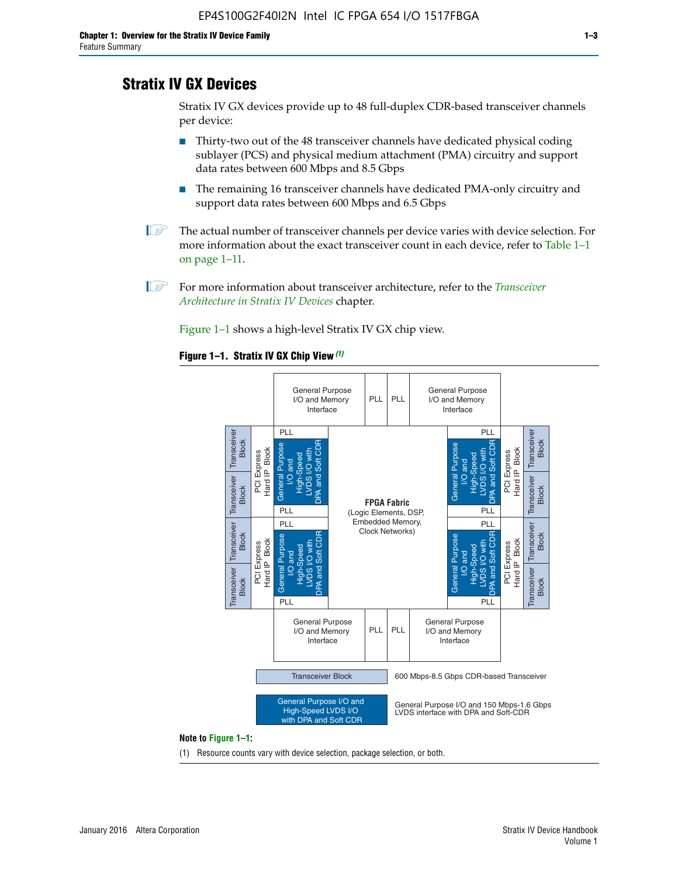# **Stratix IV GX Devices**

Stratix IV GX devices provide up to 48 full-duplex CDR-based transceiver channels per device:

- Thirty-two out of the 48 transceiver channels have dedicated physical coding sublayer (PCS) and physical medium attachment (PMA) circuitry and support data rates between 600 Mbps and 8.5 Gbps
- The remaining 16 transceiver channels have dedicated PMA-only circuitry and support data rates between 600 Mbps and 6.5 Gbps
- **1 The actual number of transceiver channels per device varies with device selection. For** more information about the exact transceiver count in each device, refer to Table 1–1 on page 1–11.
- 1 For more information about transceiver architecture, refer to the *[Transceiver](http://www.altera.com/literature/hb/stratix-iv/stx4_siv52001.pdf)  [Architecture in Stratix IV Devices](http://www.altera.com/literature/hb/stratix-iv/stx4_siv52001.pdf)* chapter.

Figure 1–1 shows a high-level Stratix IV GX chip view.

#### **Figure 1–1. Stratix IV GX Chip View** *(1)*



#### **Note to Figure 1–1:**

(1) Resource counts vary with device selection, package selection, or both.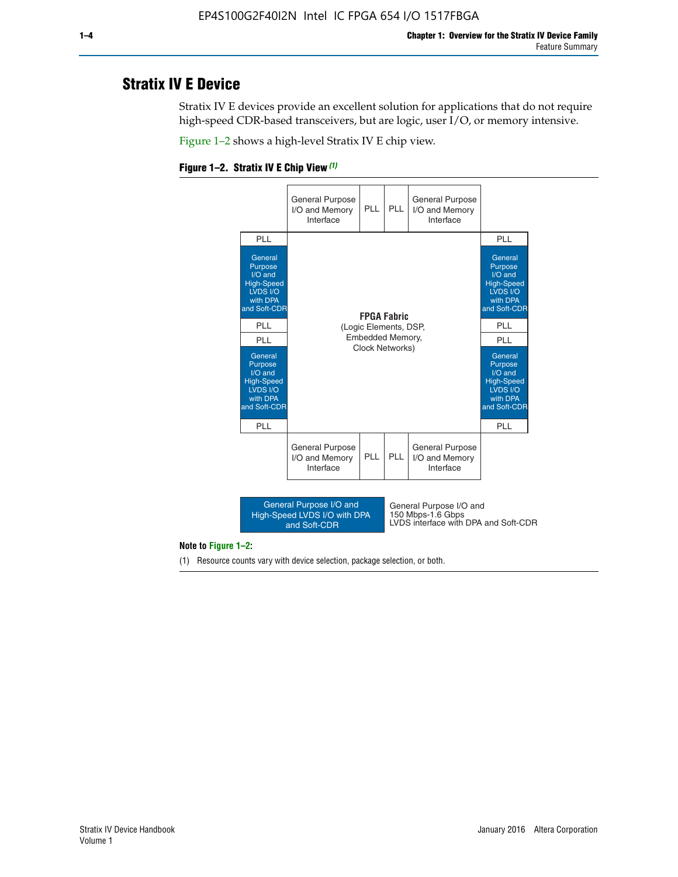# **Stratix IV E Device**

Stratix IV E devices provide an excellent solution for applications that do not require high-speed CDR-based transceivers, but are logic, user I/O, or memory intensive.

Figure 1–2 shows a high-level Stratix IV E chip view.





#### **Note to Figure 1–2:**

(1) Resource counts vary with device selection, package selection, or both.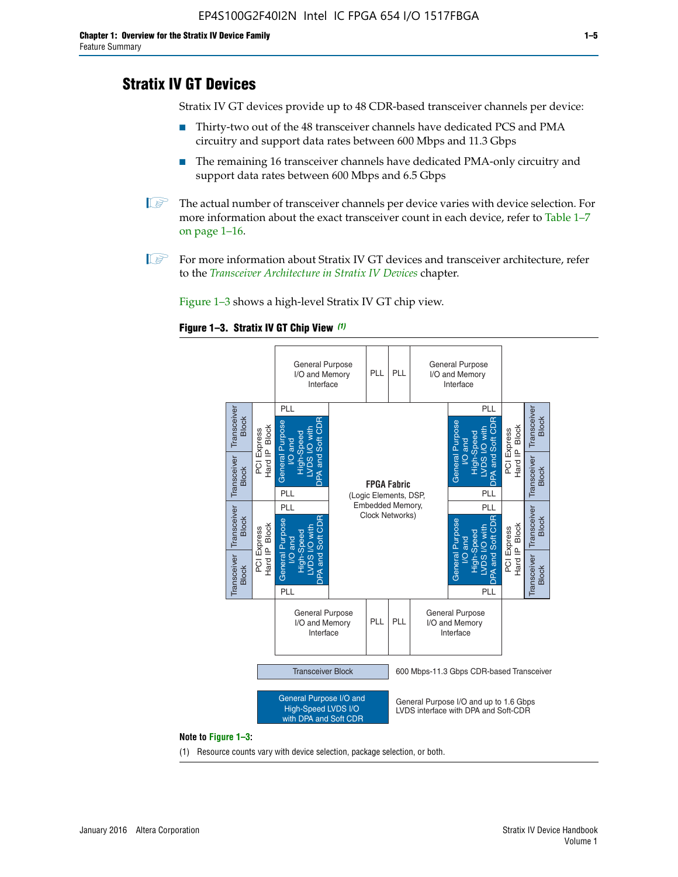# **Stratix IV GT Devices**

Stratix IV GT devices provide up to 48 CDR-based transceiver channels per device:

- Thirty-two out of the 48 transceiver channels have dedicated PCS and PMA circuitry and support data rates between 600 Mbps and 11.3 Gbps
- The remaining 16 transceiver channels have dedicated PMA-only circuitry and support data rates between 600 Mbps and 6.5 Gbps
- **1** The actual number of transceiver channels per device varies with device selection. For more information about the exact transceiver count in each device, refer to Table 1–7 on page 1–16.
- $\mathbb{I}$  For more information about Stratix IV GT devices and transceiver architecture, refer to the *[Transceiver Architecture in Stratix IV Devices](http://www.altera.com/literature/hb/stratix-iv/stx4_siv52001.pdf)* chapter.

Figure 1–3 shows a high-level Stratix IV GT chip view.

#### **Figure 1–3. Stratix IV GT Chip View** *(1)*



(1) Resource counts vary with device selection, package selection, or both.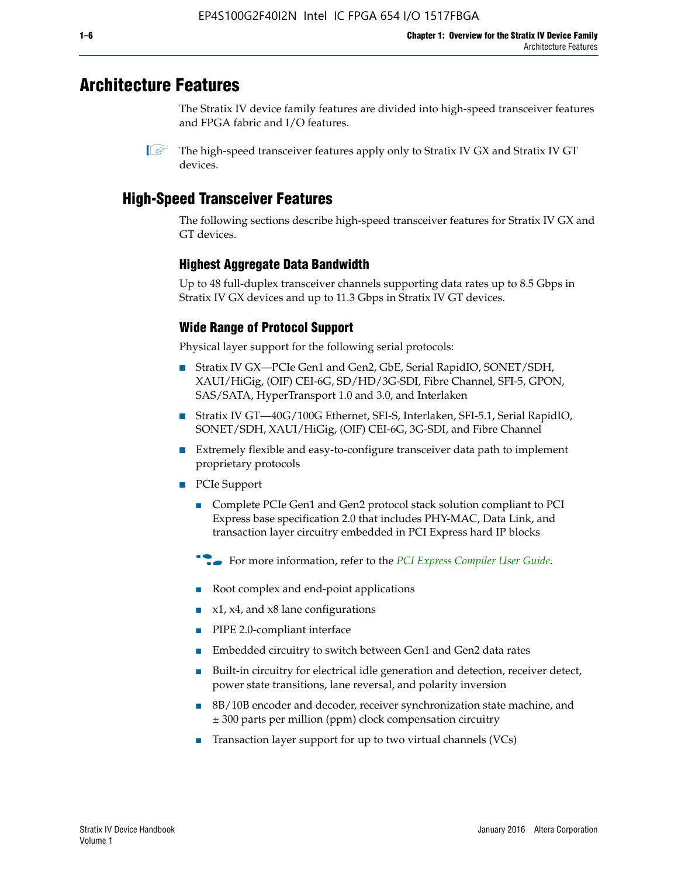# **Architecture Features**

The Stratix IV device family features are divided into high-speed transceiver features and FPGA fabric and I/O features.

# **High-Speed Transceiver Features**

The following sections describe high-speed transceiver features for Stratix IV GX and GT devices.

### **Highest Aggregate Data Bandwidth**

Up to 48 full-duplex transceiver channels supporting data rates up to 8.5 Gbps in Stratix IV GX devices and up to 11.3 Gbps in Stratix IV GT devices.

### **Wide Range of Protocol Support**

Physical layer support for the following serial protocols:

- Stratix IV GX—PCIe Gen1 and Gen2, GbE, Serial RapidIO, SONET/SDH, XAUI/HiGig, (OIF) CEI-6G, SD/HD/3G-SDI, Fibre Channel, SFI-5, GPON, SAS/SATA, HyperTransport 1.0 and 3.0, and Interlaken
- Stratix IV GT—40G/100G Ethernet, SFI-S, Interlaken, SFI-5.1, Serial RapidIO, SONET/SDH, XAUI/HiGig, (OIF) CEI-6G, 3G-SDI, and Fibre Channel
- Extremely flexible and easy-to-configure transceiver data path to implement proprietary protocols
- PCIe Support
	- Complete PCIe Gen1 and Gen2 protocol stack solution compliant to PCI Express base specification 2.0 that includes PHY-MAC, Data Link, and transaction layer circuitry embedded in PCI Express hard IP blocks
	- **For more information, refer to the [PCI Express Compiler User Guide](http://www.altera.com/literature/ug/ug_pci_express.pdf).**
	- Root complex and end-point applications
	- $x1, x4,$  and  $x8$  lane configurations
	- PIPE 2.0-compliant interface
	- Embedded circuitry to switch between Gen1 and Gen2 data rates
	- Built-in circuitry for electrical idle generation and detection, receiver detect, power state transitions, lane reversal, and polarity inversion
	- 8B/10B encoder and decoder, receiver synchronization state machine, and ± 300 parts per million (ppm) clock compensation circuitry
	- Transaction layer support for up to two virtual channels (VCs)

 $\mathbb{I}$  The high-speed transceiver features apply only to Stratix IV GX and Stratix IV GT devices.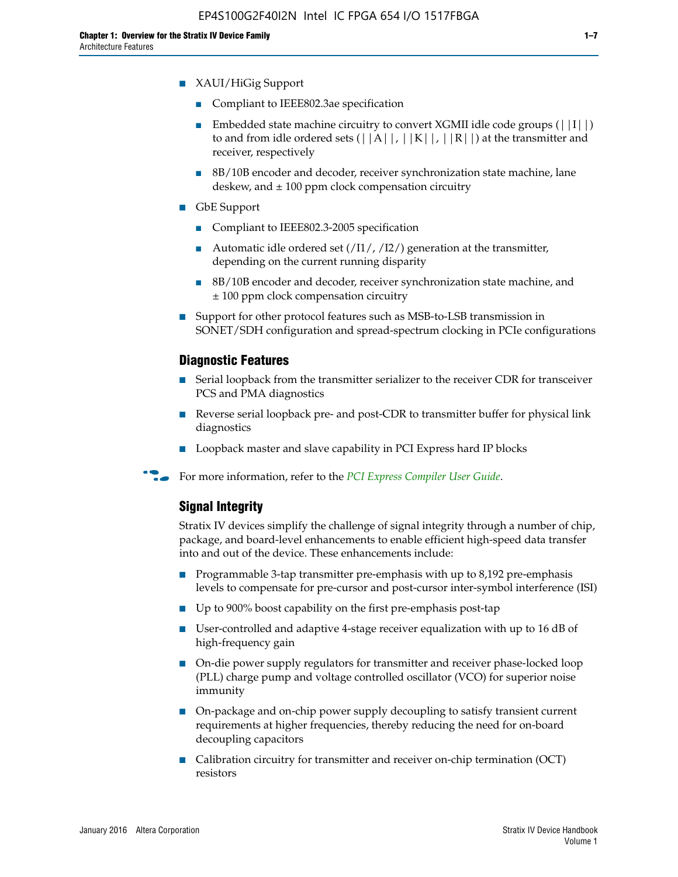- XAUI/HiGig Support
	- Compliant to IEEE802.3ae specification
	- **■** Embedded state machine circuitry to convert XGMII idle code groups  $(|11|)$ to and from idle ordered sets  $(|A|, |K|, |R|)$  at the transmitter and receiver, respectively
	- 8B/10B encoder and decoder, receiver synchronization state machine, lane deskew, and  $\pm 100$  ppm clock compensation circuitry
- GbE Support
	- Compliant to IEEE802.3-2005 specification
	- Automatic idle ordered set  $(111/112/1)$  generation at the transmitter, depending on the current running disparity
	- 8B/10B encoder and decoder, receiver synchronization state machine, and ± 100 ppm clock compensation circuitry
- Support for other protocol features such as MSB-to-LSB transmission in SONET/SDH configuration and spread-spectrum clocking in PCIe configurations

#### **Diagnostic Features**

- Serial loopback from the transmitter serializer to the receiver CDR for transceiver PCS and PMA diagnostics
- Reverse serial loopback pre- and post-CDR to transmitter buffer for physical link diagnostics
- Loopback master and slave capability in PCI Express hard IP blocks
- **For more information, refer to the** *[PCI Express Compiler User Guide](http://www.altera.com/literature/ug/ug_pci_express.pdf)***.**

#### **Signal Integrity**

Stratix IV devices simplify the challenge of signal integrity through a number of chip, package, and board-level enhancements to enable efficient high-speed data transfer into and out of the device. These enhancements include:

- Programmable 3-tap transmitter pre-emphasis with up to 8,192 pre-emphasis levels to compensate for pre-cursor and post-cursor inter-symbol interference (ISI)
- Up to 900% boost capability on the first pre-emphasis post-tap
- User-controlled and adaptive 4-stage receiver equalization with up to 16 dB of high-frequency gain
- On-die power supply regulators for transmitter and receiver phase-locked loop (PLL) charge pump and voltage controlled oscillator (VCO) for superior noise immunity
- On-package and on-chip power supply decoupling to satisfy transient current requirements at higher frequencies, thereby reducing the need for on-board decoupling capacitors
- Calibration circuitry for transmitter and receiver on-chip termination (OCT) resistors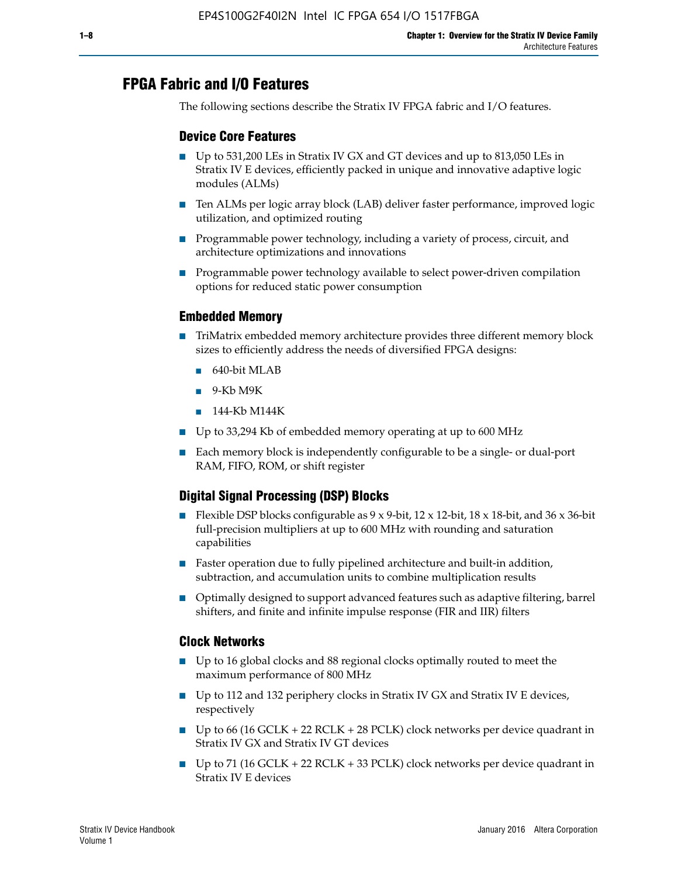# **FPGA Fabric and I/O Features**

The following sections describe the Stratix IV FPGA fabric and I/O features.

### **Device Core Features**

- Up to 531,200 LEs in Stratix IV GX and GT devices and up to 813,050 LEs in Stratix IV E devices, efficiently packed in unique and innovative adaptive logic modules (ALMs)
- Ten ALMs per logic array block (LAB) deliver faster performance, improved logic utilization, and optimized routing
- Programmable power technology, including a variety of process, circuit, and architecture optimizations and innovations
- Programmable power technology available to select power-driven compilation options for reduced static power consumption

#### **Embedded Memory**

- TriMatrix embedded memory architecture provides three different memory block sizes to efficiently address the needs of diversified FPGA designs:
	- 640-bit MLAB
	- 9-Kb M9K
	- 144-Kb M144K
- Up to 33,294 Kb of embedded memory operating at up to 600 MHz
- Each memory block is independently configurable to be a single- or dual-port RAM, FIFO, ROM, or shift register

### **Digital Signal Processing (DSP) Blocks**

- Flexible DSP blocks configurable as  $9 \times 9$ -bit,  $12 \times 12$ -bit,  $18 \times 18$ -bit, and  $36 \times 36$ -bit full-precision multipliers at up to 600 MHz with rounding and saturation capabilities
- Faster operation due to fully pipelined architecture and built-in addition, subtraction, and accumulation units to combine multiplication results
- Optimally designed to support advanced features such as adaptive filtering, barrel shifters, and finite and infinite impulse response (FIR and IIR) filters

#### **Clock Networks**

- Up to 16 global clocks and 88 regional clocks optimally routed to meet the maximum performance of 800 MHz
- Up to 112 and 132 periphery clocks in Stratix IV GX and Stratix IV E devices, respectively
- Up to 66 (16 GCLK + 22 RCLK + 28 PCLK) clock networks per device quadrant in Stratix IV GX and Stratix IV GT devices
- Up to 71 (16 GCLK + 22 RCLK + 33 PCLK) clock networks per device quadrant in Stratix IV E devices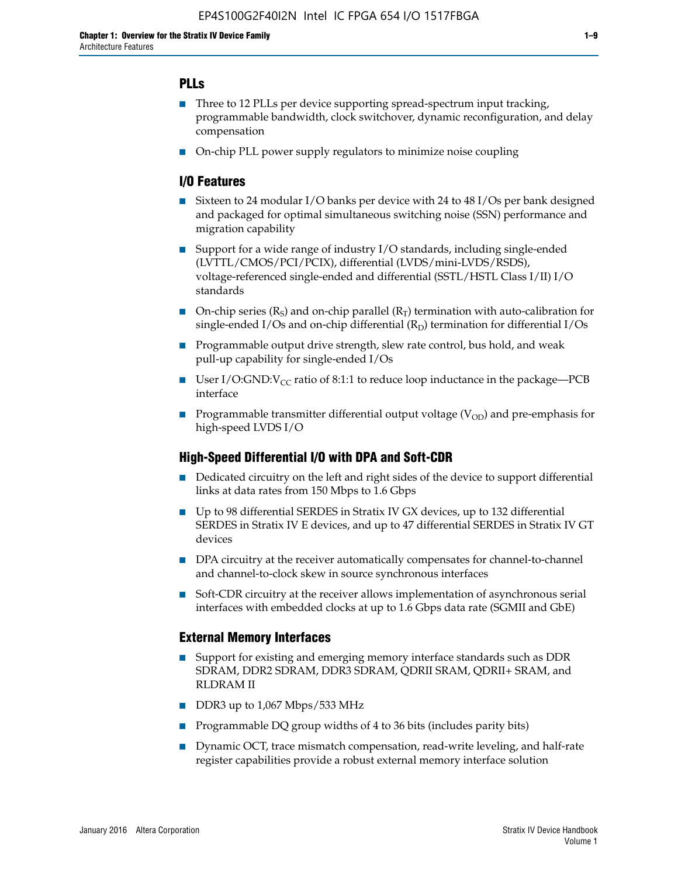### **PLLs**

- Three to 12 PLLs per device supporting spread-spectrum input tracking, programmable bandwidth, clock switchover, dynamic reconfiguration, and delay compensation
- On-chip PLL power supply regulators to minimize noise coupling

#### **I/O Features**

- Sixteen to 24 modular I/O banks per device with 24 to 48 I/Os per bank designed and packaged for optimal simultaneous switching noise (SSN) performance and migration capability
- Support for a wide range of industry I/O standards, including single-ended (LVTTL/CMOS/PCI/PCIX), differential (LVDS/mini-LVDS/RSDS), voltage-referenced single-ended and differential (SSTL/HSTL Class I/II) I/O standards
- **O**n-chip series  $(R_S)$  and on-chip parallel  $(R_T)$  termination with auto-calibration for single-ended I/Os and on-chip differential  $(R_D)$  termination for differential I/Os
- Programmable output drive strength, slew rate control, bus hold, and weak pull-up capability for single-ended I/Os
- User I/O:GND: $V_{CC}$  ratio of 8:1:1 to reduce loop inductance in the package—PCB interface
- **■** Programmable transmitter differential output voltage ( $V_{OD}$ ) and pre-emphasis for high-speed LVDS I/O

#### **High-Speed Differential I/O with DPA and Soft-CDR**

- Dedicated circuitry on the left and right sides of the device to support differential links at data rates from 150 Mbps to 1.6 Gbps
- Up to 98 differential SERDES in Stratix IV GX devices, up to 132 differential SERDES in Stratix IV E devices, and up to 47 differential SERDES in Stratix IV GT devices
- DPA circuitry at the receiver automatically compensates for channel-to-channel and channel-to-clock skew in source synchronous interfaces
- Soft-CDR circuitry at the receiver allows implementation of asynchronous serial interfaces with embedded clocks at up to 1.6 Gbps data rate (SGMII and GbE)

#### **External Memory Interfaces**

- Support for existing and emerging memory interface standards such as DDR SDRAM, DDR2 SDRAM, DDR3 SDRAM, QDRII SRAM, QDRII+ SRAM, and RLDRAM II
- DDR3 up to 1,067 Mbps/533 MHz
- Programmable DQ group widths of 4 to 36 bits (includes parity bits)
- Dynamic OCT, trace mismatch compensation, read-write leveling, and half-rate register capabilities provide a robust external memory interface solution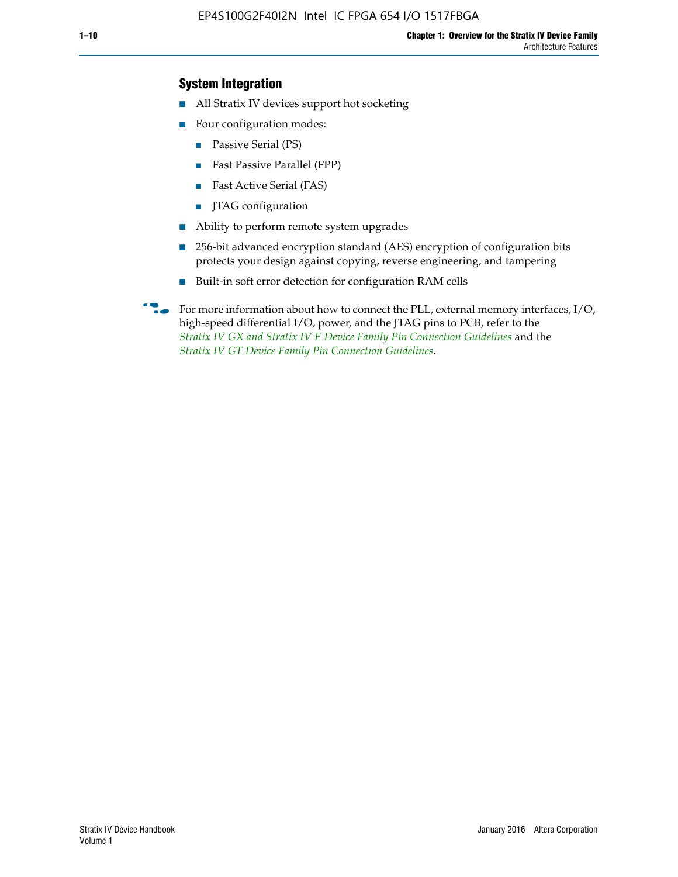### **System Integration**

- All Stratix IV devices support hot socketing
- Four configuration modes:
	- Passive Serial (PS)
	- Fast Passive Parallel (FPP)
	- Fast Active Serial (FAS)
	- JTAG configuration
- Ability to perform remote system upgrades
- 256-bit advanced encryption standard (AES) encryption of configuration bits protects your design against copying, reverse engineering, and tampering
- Built-in soft error detection for configuration RAM cells
- For more information about how to connect the PLL, external memory interfaces,  $I/O$ , high-speed differential I/O, power, and the JTAG pins to PCB, refer to the *[Stratix IV GX and Stratix IV E Device Family Pin Connection Guidelines](http://www.altera.com/literature/dp/stratix4/PCG-01005.pdf)* and the *[Stratix IV GT Device Family Pin Connection Guidelines](http://www.altera.com/literature/dp/stratix4/PCG-01006.pdf)*.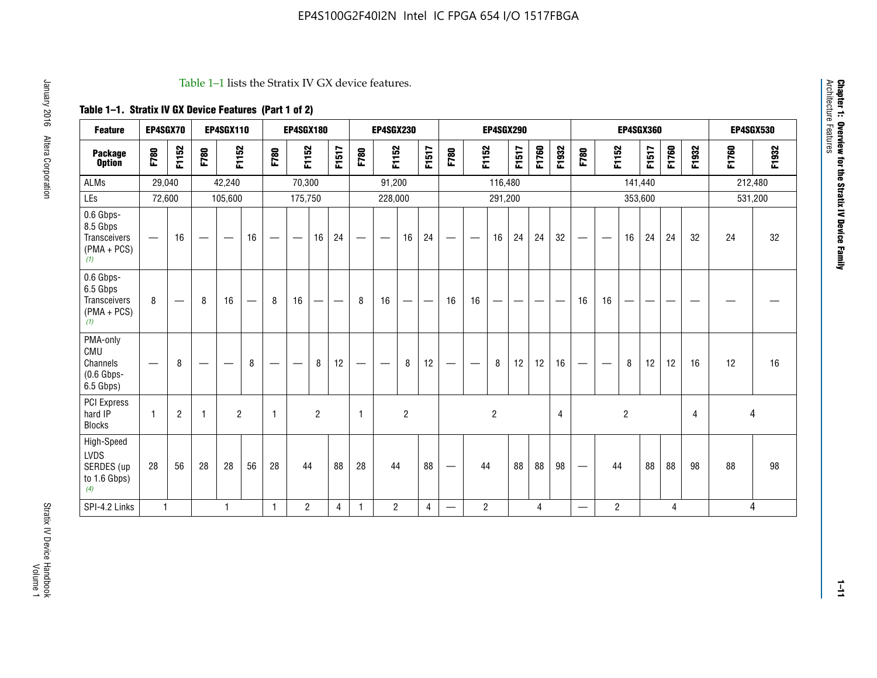#### Table 1–1 lists the Stratix IV GX device features.

## **Table 1–1. Stratix IV GX Device Features (Part 1 of 2)**

| <b>Feature</b>                                                       | EP4SGX70                       |                |                                  | <b>EP4SGX110</b> |    |                                | <b>EP4SGX180</b>               |                |       |              | <b>EP4SGX230</b>         |                          |                               |      |                | <b>EP4SGX290</b> |       |       |       |                          |                   |                | <b>EP4SGX360</b> |       |       |         | <b>EP4SGX530</b> |
|----------------------------------------------------------------------|--------------------------------|----------------|----------------------------------|------------------|----|--------------------------------|--------------------------------|----------------|-------|--------------|--------------------------|--------------------------|-------------------------------|------|----------------|------------------|-------|-------|-------|--------------------------|-------------------|----------------|------------------|-------|-------|---------|------------------|
| <b>Package</b><br><b>Option</b>                                      | F780                           | F1152          | F780                             | F1152            |    | F780                           | F1152                          |                | F1517 | F780         | F1152                    |                          | F1517                         | F780 | F1152          |                  | F1517 | F1760 | F1932 | F780                     | F1152             |                | F1517            | F1760 | F1932 | F1760   | F1932            |
| ALMs                                                                 | 29,040                         |                |                                  | 42,240           |    |                                | 70,300                         |                |       |              | 91,200                   |                          |                               |      |                | 116,480          |       |       |       |                          |                   |                | 141,440          |       |       | 212,480 |                  |
| LEs                                                                  | 72,600                         |                |                                  | 105,600          |    |                                | 175,750                        |                |       |              | 228,000                  |                          |                               |      |                | 291,200          |       |       |       |                          |                   |                | 353,600          |       |       |         | 531,200          |
| 0.6 Gbps-<br>8.5 Gbps<br>Transceivers<br>$(PMA + PCs)$<br>(1)        | $\overline{\phantom{0}}$       | 16             |                                  |                  | 16 |                                | $\qquad \qquad \longleftarrow$ | 16             | 24    |              |                          | 16                       | 24                            |      |                | 16               | 24    | 24    | 32    | $\overline{\phantom{0}}$ |                   | 16             | 24               | 24    | 32    | 24      | 32               |
| 0.6 Gbps-<br>6.5 Gbps<br><b>Transceivers</b><br>$(PMA + PCs)$<br>(1) | 8                              |                | 8                                | 16               | –  | 8                              | 16                             | -              |       | 8            | 16                       | $\overline{\phantom{0}}$ | $\overbrace{\phantom{aaaaa}}$ | 16   | 16             |                  | -     |       |       | 16                       | 16                |                |                  |       |       |         |                  |
| PMA-only<br>CMU<br>Channels<br>$(0.6$ Gbps-<br>6.5 Gbps)             | $\qquad \qquad \longleftarrow$ | 8              | $\overbrace{\phantom{12322111}}$ |                  | 8  | $\qquad \qquad \longleftarrow$ |                                | 8              | 12    | -            | $\overline{\phantom{a}}$ | 8                        | 12                            |      |                | 8                | 12    | 12    | 16    | $\overline{\phantom{0}}$ | $\hspace{0.05cm}$ | 8              | 12               | 12    | 16    | 12      | 16               |
| PCI Express<br>hard IP<br><b>Blocks</b>                              | $\mathbf{1}$                   | $\overline{2}$ |                                  | $\overline{2}$   |    | 1                              |                                | $\overline{2}$ |       | $\mathbf{1}$ |                          | $\overline{c}$           |                               |      |                | $\overline{c}$   |       |       | 4     |                          |                   | $\overline{2}$ |                  |       | 4     |         | 4                |
| High-Speed<br>LVDS<br>SERDES (up<br>to 1.6 Gbps)<br>(4)              | 28                             | 56             | 28                               | 28               | 56 | 28                             | 44                             |                | 88    | 28           | 44                       |                          | 88                            | —    | 44             |                  | 88    | 88    | 98    |                          | 44                |                | 88               | 88    | 98    | 88      | 98               |
| SPI-4.2 Links                                                        | $\mathbf{1}$                   |                |                                  | 1                |    | $\mathbf{1}$                   | $\overline{c}$                 |                | 4     | 1            | $\overline{c}$           |                          | $\overline{4}$                | —    | $\overline{2}$ |                  |       | 4     |       | $\overline{\phantom{0}}$ | $\overline{2}$    |                |                  | 4     |       |         | 4                |

**Chapter 1: Overview for the Stratix IV Device Family**

Chapter 1: Overview for the Stratix IV Device Family<br>Architecture Features

Architecture Features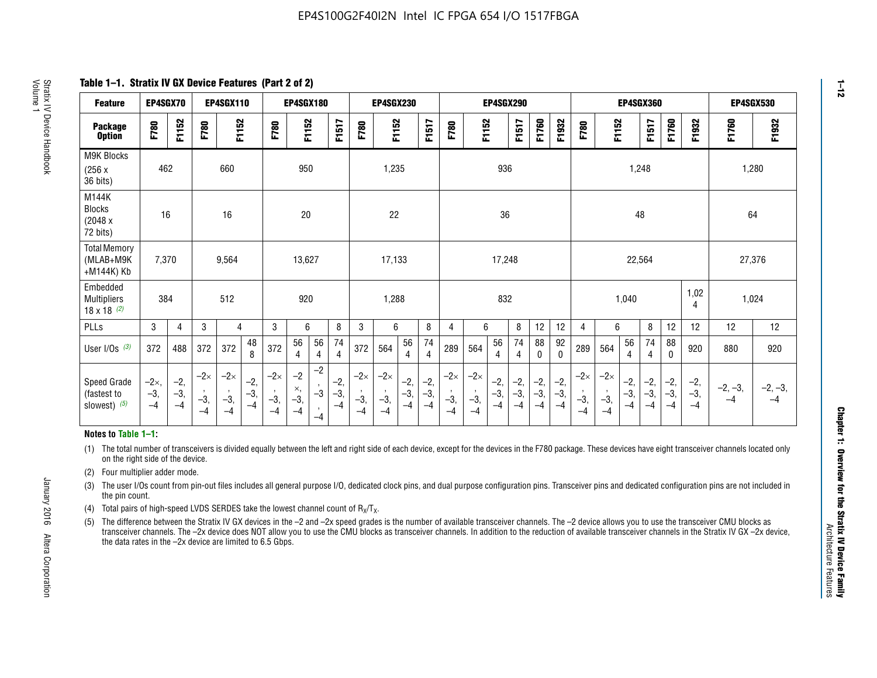**Table 1–1. Stratix IV GX Device Features (Part 2 of 2)**

| <b>Feature</b>                                       | EP4SGX70                |                        |                             | <b>EP4SGX110</b>            |                      |                             | <b>EP4SGX180</b>          |                      |                        |                             | <b>EP4SGX230</b>            |                      |                        |                             |                             | <b>EP4SGX290</b>       |                      |                        |                      | <b>EP4SGX360</b>            |                             |                        | <b>EP4SGX530</b>       |                        |                        |                   |                   |
|------------------------------------------------------|-------------------------|------------------------|-----------------------------|-----------------------------|----------------------|-----------------------------|---------------------------|----------------------|------------------------|-----------------------------|-----------------------------|----------------------|------------------------|-----------------------------|-----------------------------|------------------------|----------------------|------------------------|----------------------|-----------------------------|-----------------------------|------------------------|------------------------|------------------------|------------------------|-------------------|-------------------|
| <b>Package</b><br><b>Option</b>                      | F780                    | F1152                  | F780                        | F1152                       |                      | F780                        | F1152                     |                      | F1517                  | F780                        | F1152                       |                      | F1517                  | F780                        | F1152                       |                        | F1517                | F1760                  | F1932                | F780                        | F1152                       |                        | F1517                  | F1760                  | F1932                  | F1760             | F1932             |
| M9K Blocks<br>(256x)<br>36 bits)                     | 462                     |                        |                             | 660                         |                      |                             | 950                       |                      |                        |                             | 1,235                       |                      |                        |                             |                             | 936                    |                      |                        |                      |                             |                             | 1,248                  |                        |                        |                        | 1,280             |                   |
| M144K<br>Blocks<br>(2048 x<br>72 bits)               | 16                      |                        |                             | 16                          |                      |                             | 20                        |                      |                        |                             | 22                          |                      |                        |                             |                             | 36                     |                      |                        |                      |                             |                             | 48                     |                        |                        |                        | 64                |                   |
| <b>Total Memory</b><br>(MLAB+M9K<br>+M144K) Kb       | 7,370                   |                        |                             | 9,564                       |                      |                             | 13,627                    |                      |                        |                             | 17,133                      |                      |                        |                             |                             | 17,248<br>22,564       |                      |                        |                      | 27,376                      |                             |                        |                        |                        |                        |                   |                   |
| Embedded<br><b>Multipliers</b><br>$18 \times 18$ (2) | 384                     |                        |                             | 512                         |                      |                             | 920                       |                      |                        |                             | 1,288                       |                      |                        |                             |                             | 832                    |                      |                        |                      |                             |                             | 1,040                  |                        |                        | 1,02<br>4              | 1,024             |                   |
| PLLs                                                 | 3                       | 4                      | 3                           | 4                           |                      | 3                           | 6                         |                      | 8                      | 3                           | 6                           |                      | 8                      | $\overline{4}$              | 6                           |                        | 8                    | 12                     | 12                   | 4                           | 6                           |                        | 8                      | 12                     | 12                     | 12                | 12                |
| User I/Os $(3)$                                      | 372                     | 488                    | 372                         | 372                         | 48<br>8              | 372                         | 56<br>4                   | 56<br>4              | 74<br>4                | 372                         | 564                         | 56<br>4              | 74<br>$\overline{4}$   | 289                         | 564                         | 56<br>4                | 74<br>4              | 88<br>0                | 92<br>$\mathbf{0}$   | 289                         | 564                         | 56<br>4                | 74<br>4                | 88<br>0                | 920                    | 880               | 920               |
| Speed Grade<br>(fastest to<br>slowest) (5)           | $-2x,$<br>$-3,$<br>$-4$ | $-2,$<br>$-3,$<br>$-4$ | $-2\times$<br>$-3,$<br>$-4$ | $-2\times$<br>$-3,$<br>$-4$ | $-2,$<br>-3,<br>$-4$ | $-2\times$<br>$-3,$<br>$-4$ | $-2$<br>×,<br>$-3,$<br>-4 | $-2$<br>$-3$<br>$-4$ | $-2,$<br>$-3,$<br>$-4$ | $-2\times$<br>$-3,$<br>$-4$ | $-2\times$<br>$-3,$<br>$-4$ | $-2,$<br>-3,<br>$-4$ | $-2,$<br>$-3,$<br>$-4$ | $-2\times$<br>$-3,$<br>$-4$ | $-2\times$<br>$-3,$<br>$-4$ | $-2,$<br>$-3,$<br>$-4$ | $-2,$<br>-3,<br>$-4$ | $-2,$<br>$-3,$<br>$-4$ | $-2,$<br>-3,<br>$-4$ | $-2\times$<br>$-3,$<br>$-4$ | $-2\times$<br>$-3,$<br>$-4$ | $-2,$<br>$-3,$<br>$-4$ | $-2,$<br>$-3,$<br>$-4$ | $-2,$<br>$-3,$<br>$-4$ | $-2,$<br>$-3,$<br>$-4$ | $-2, -3,$<br>$-4$ | $-2, -3,$<br>$-4$ |

#### **Notes to Table 1–1:**

(1) The total number of transceivers is divided equally between the left and right side of each device, except for the devices in the F780 package. These devices have eight transceiver channels located only on the right side of the device.

- (2) Four multiplier adder mode.
- (3) The user I/Os count from pin-out files includes all general purpose I/O, dedicated clock pins, and dual purpose configuration pins. Transceiver pins and dedicated configuration pins are not included in the pin count.
- (4) Total pairs of high-speed LVDS SERDES take the lowest channel count of  $R_X/T_X$ .
- (5) The difference between the Stratix IV GX devices in the –2 and –2x speed grades is the number of available transceiver channels. The –2 device allows you to use the transceiver CMU blocks as transceiver channels. The –2x device does NOT allow you to use the CMU blocks as transceiver channels. In addition to the reduction of available transceiver channels in the Stratix IV GX –2x device, the data rates in the –2x device are limited to 6.5 Gbps.

**1–12**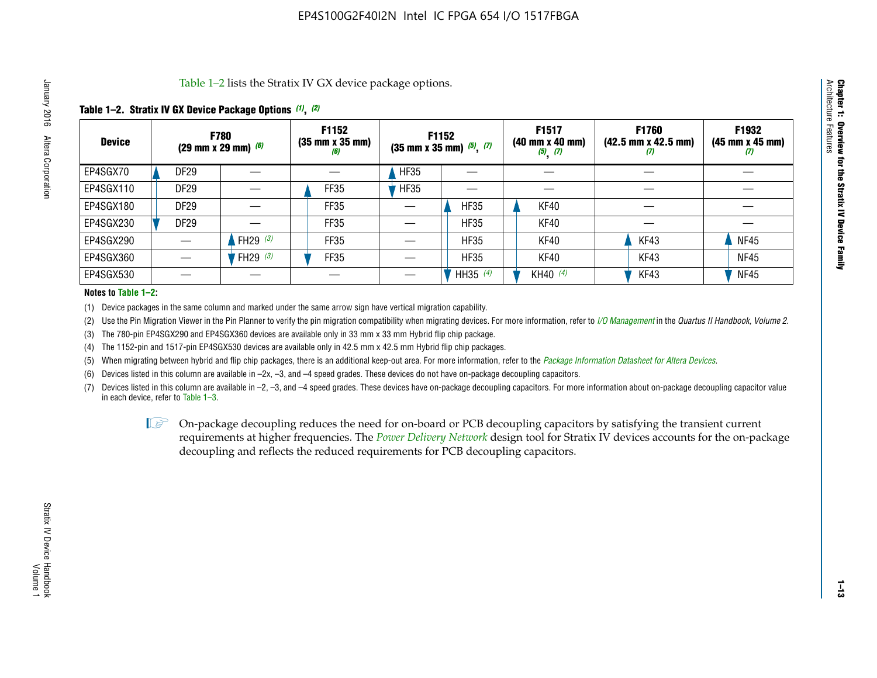Table 1–2 lists the Stratix IV GX device package options.

#### **Table 1–2. Stratix IV GX Device Package Options** *(1)***,** *(2)*

| <b>Device</b> | (29 mm x 29 mm) $(6)$ | <b>F780</b>          | F1152<br>$(35 \, \text{mm} \times 35 \, \text{mm})$<br>(6) |             | <b>F1152</b><br>$(35$ mm x 35 mm) $(5)$ , $(7)$ | F1517<br>(40 mm x 40 mm)<br>$(5)$ $(7)$ | <b>F1760</b><br>$(42.5 \text{ mm} \times 42.5 \text{ mm})$<br>W | F1932<br>$(45 \, \text{mm} \times 45 \, \text{mm})$<br>$\boldsymbol{v}$ |
|---------------|-----------------------|----------------------|------------------------------------------------------------|-------------|-------------------------------------------------|-----------------------------------------|-----------------------------------------------------------------|-------------------------------------------------------------------------|
| EP4SGX70      | DF <sub>29</sub>      |                      |                                                            | <b>HF35</b> |                                                 |                                         |                                                                 |                                                                         |
| EP4SGX110     | <b>DF29</b>           |                      | FF35                                                       | <b>HF35</b> |                                                 |                                         |                                                                 |                                                                         |
| EP4SGX180     | DF29                  |                      | FF35                                                       |             | <b>HF35</b>                                     | KF40                                    |                                                                 |                                                                         |
| EP4SGX230     | <b>DF29</b>           |                      | FF35                                                       |             | <b>HF35</b>                                     | KF40                                    |                                                                 |                                                                         |
| EP4SGX290     |                       | FH29 $(3)$           | FF35                                                       |             | <b>HF35</b>                                     | KF40                                    | KF43                                                            | <b>NF45</b>                                                             |
| EP4SGX360     |                       | 'FH29 <sup>(3)</sup> | FF35                                                       |             | <b>HF35</b>                                     | KF40                                    | KF43                                                            | <b>NF45</b>                                                             |
| EP4SGX530     |                       |                      |                                                            |             | HH35 $(4)$                                      | KH40 (4)                                | KF43                                                            | <b>NF45</b>                                                             |

#### **Notes to Table 1–2:**

(1) Device packages in the same column and marked under the same arrow sign have vertical migration capability.

(2) Use the Pin Migration Viewer in the Pin Planner to verify the pin migration compatibility when migrating devices. For more information, refer to *[I/O Management](http://www.altera.com/literature/hb/qts/qts_qii52013.pdf)* in the *Quartus II Handbook, Volume 2*.

(3) The 780-pin EP4SGX290 and EP4SGX360 devices are available only in 33 mm x 33 mm Hybrid flip chip package.

(4) The 1152-pin and 1517-pin EP4SGX530 devices are available only in 42.5 mm x 42.5 mm Hybrid flip chip packages.

(5) When migrating between hybrid and flip chip packages, there is an additional keep-out area. For more information, refer to the *[Package Information Datasheet for Altera Devices](http://www.altera.com/literature/ds/dspkg.pdf)*.

(6) Devices listed in this column are available in –2x, –3, and –4 speed grades. These devices do not have on-package decoupling capacitors.

(7) Devices listed in this column are available in –2, –3, and –4 speed grades. These devices have on-package decoupling capacitors. For more information about on-package decoupling capacitor value in each device, refer to Table 1–3.

 $\mathbb{L}$ s On-package decoupling reduces the need for on-board or PCB decoupling capacitors by satisfying the transient current requirements at higher frequencies. The *[Power Delivery Network](http://www.altera.com/literature/ug/pdn_tool_stxiv.zip)* design tool for Stratix IV devices accounts for the on-package decoupling and reflects the reduced requirements for PCB decoupling capacitors.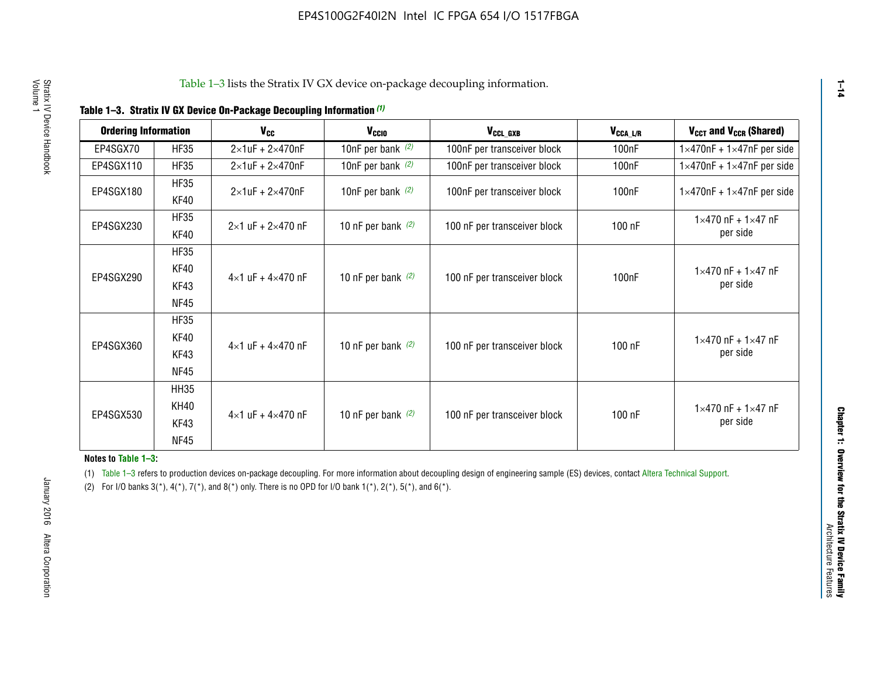| <b>Ordering Information</b> |                            | <b>V<sub>cc</sub></b>               | V <sub>ccio</sub>    | V <sub>CCL GXB</sub>         | V <sub>CCA_L/R</sub> | V <sub>CCT</sub> and V <sub>CCR</sub> (Shared)   |
|-----------------------------|----------------------------|-------------------------------------|----------------------|------------------------------|----------------------|--------------------------------------------------|
| EP4SGX70                    | <b>HF35</b>                | $2\times1$ uF + $2\times470$ nF     | 10nF per bank $(2)$  | 100nF per transceiver block  | 100 <sub>n</sub> F   | $1 \times 470$ nF + $1 \times 47$ nF per side    |
| EP4SGX110                   | <b>HF35</b>                | $2\times1$ uF + $2\times470$ nF     | 10nF per bank $(2)$  | 100nF per transceiver block  | 100 <sub>n</sub> F   | $1\times470$ nF + $1\times47$ nF per side        |
| EP4SGX180                   | <b>HF35</b><br>KF40        | $2\times1$ uF + $2\times470$ nF     | 10nF per bank $(2)$  | 100nF per transceiver block  | 100 <sub>nF</sub>    | $1 \times 470$ nF + $1 \times 47$ nF per side    |
| EP4SGX230                   | <b>HF35</b><br>KF40        | $2 \times 1$ uF + $2 \times 470$ nF | 10 nF per bank $(2)$ | 100 nF per transceiver block | 100 nF               | $1 \times 470$ nF + $1 \times 47$ nF<br>per side |
|                             | <b>HF35</b><br><b>KF40</b> |                                     |                      |                              |                      | $1 \times 470$ nF + $1 \times 47$ nF             |
| EP4SGX290                   | KF43<br><b>NF45</b>        | $4 \times 1$ uF + $4 \times 470$ nF | 10 nF per bank $(2)$ | 100 nF per transceiver block | 100nF                | per side                                         |
|                             | <b>HF35</b><br>KF40        |                                     |                      |                              |                      | $1 \times 470$ nF + $1 \times 47$ nF             |
| EP4SGX360                   | KF43<br><b>NF45</b>        | $4 \times 1$ uF + $4 \times 470$ nF | 10 nF per bank $(2)$ | 100 nF per transceiver block | 100 nF               | per side                                         |
|                             | <b>HH35</b>                |                                     |                      |                              |                      |                                                  |
| EP4SGX530                   | <b>KH40</b><br>KF43        | $4 \times 1$ uF + $4 \times 470$ nF | 10 nF per bank $(2)$ | 100 nF per transceiver block | 100 nF               | $1 \times 470$ nF + $1 \times 47$ nF<br>per side |
|                             | <b>NF45</b>                |                                     |                      |                              |                      |                                                  |

**Notes to Table 1–3:**

(1) Table 1-3 refers to production devices on-package decoupling. For more information about decoupling design of engineering sample (ES) devices, contact [Altera Technical Support](http://mysupport.altera.com/eservice/login.asp).

(2) For I/O banks  $3(*)$ ,  $4(*)$ ,  $7(*)$ , and  $8(*)$  only. There is no OPD for I/O bank  $1(*)$ ,  $2(*)$ ,  $5(*)$ , and  $6(*)$ .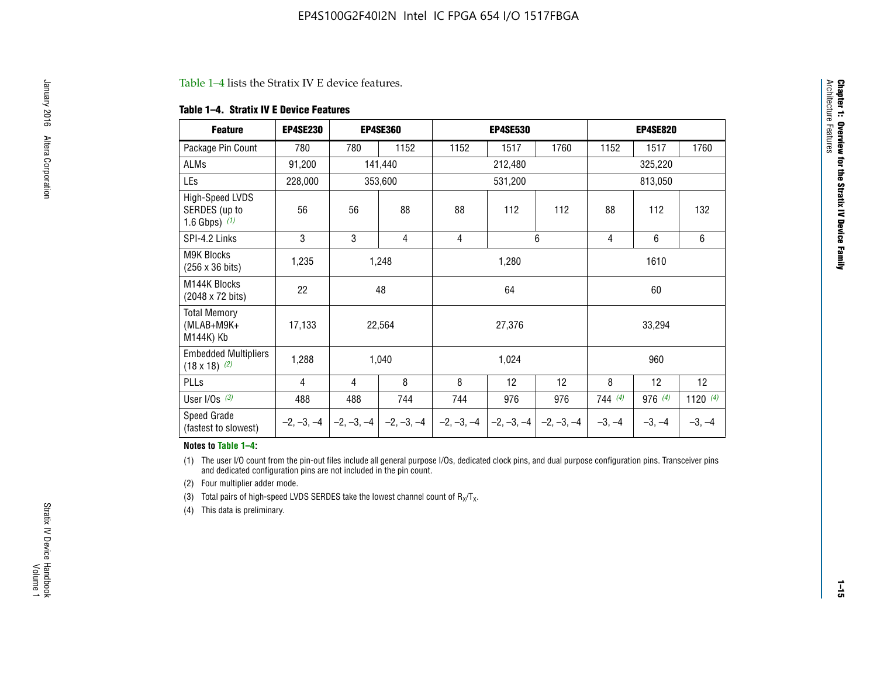#### Table 1–4 lists the Stratix IV E device features.

#### **Table 1–4. Stratix IV E Device Features**

| <b>Feature</b>                                      | <b>EP4SE230</b> |     | <b>EP4SE360</b>                        |              | <b>EP4SE530</b> |              |          | <b>EP4SE820</b> |            |
|-----------------------------------------------------|-----------------|-----|----------------------------------------|--------------|-----------------|--------------|----------|-----------------|------------|
| Package Pin Count                                   | 780             | 780 | 1152                                   | 1152         | 1517            | 1760         | 1152     | 1517            | 1760       |
| ALMs                                                | 91,200          |     | 141,440                                |              | 212,480         |              |          | 325,220         |            |
| LEs                                                 | 228,000         |     | 353,600                                |              | 531,200         |              |          | 813,050         |            |
| High-Speed LVDS<br>SERDES (up to<br>1.6 Gbps) $(1)$ | 56              | 56  | 88                                     | 88           | 112             | 112          | 88       | 112             | 132        |
| SPI-4.2 Links                                       | 3               | 3   | 4                                      | 4            |                 | 6            | 4        | 6               | 6          |
| <b>M9K Blocks</b><br>(256 x 36 bits)                | 1,235           |     | 1,248                                  |              | 1,280           |              |          | 1610            |            |
| M144K Blocks<br>(2048 x 72 bits)                    | 22              |     | 48                                     |              | 64              |              |          | 60              |            |
| <b>Total Memory</b><br>$(MLAB+M9K+$<br>M144K) Kb    | 17,133          |     | 22,564                                 |              | 27,376          |              |          | 33,294          |            |
| <b>Embedded Multipliers</b><br>$(18 \times 18)$ (2) | 1,288           |     | 1,040                                  |              | 1,024           |              |          | 960             |            |
| PLLs                                                | 4               | 4   | 8                                      | 8            | 12              | 12           | 8        | 12              | 12         |
| User I/Os $(3)$                                     | 488             | 488 | 744                                    | 744          | 976             | 976          | 744(4)   | 976 (4)         | 1120 $(4)$ |
| Speed Grade<br>(fastest to slowest)                 |                 |     | $-2, -3, -4$ $-2, -3, -4$ $-2, -3, -4$ | $-2, -3, -4$ | $-2, -3, -4$    | $-2, -3, -4$ | $-3, -4$ | $-3, -4$        | $-3, -4$   |

#### **Notes to Table 1–4:**

(1) The user I/O count from the pin-out files include all general purpose I/Os, dedicated clock pins, and dual purpose configuration pins. Transceiver pins and dedicated configuration pins are not included in the pin count.

(2) Four multiplier adder mode.

(3) Total pairs of high-speed LVDS SERDES take the lowest channel count of  $R_X/T_X$ .

(4) This data is preliminary.

**Chapter 1: Overview for the Stratix IV Device Family**

**Chapter 1: Overview for the Stratix IV Device Family**<br>Architecture Faatures

Architecture Features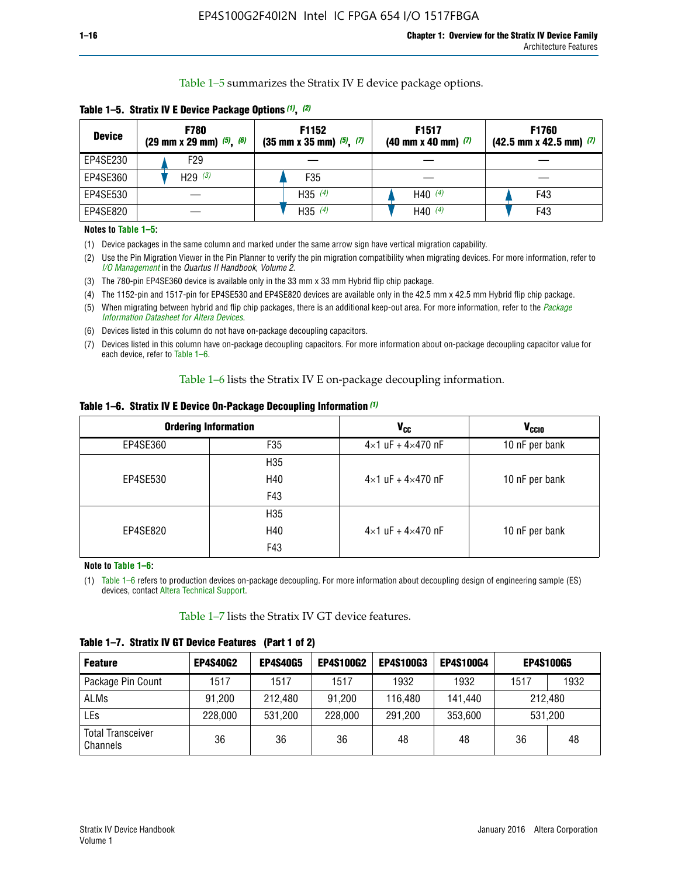Table 1–5 summarizes the Stratix IV E device package options.

| <b>Device</b> | <b>F780</b><br>$(29 \text{ mm} \times 29 \text{ mm})$ $(5)$ , $(6)$ | F1152<br>$(35 \text{ mm} \times 35 \text{ mm})$ $(5)$ , $(7)$ | F <sub>1517</sub><br>$(40 \text{ mm} \times 40 \text{ mm})$ (7) | <b>F1760</b><br>$(42.5$ mm x 42.5 mm) $(7)$ |
|---------------|---------------------------------------------------------------------|---------------------------------------------------------------|-----------------------------------------------------------------|---------------------------------------------|
| EP4SE230      | F29                                                                 |                                                               |                                                                 |                                             |
| EP4SE360      | H29 $(3)$                                                           | F35                                                           |                                                                 |                                             |
| EP4SE530      |                                                                     | H35 $(4)$                                                     | H40 $(4)$                                                       | F43                                         |
| EP4SE820      |                                                                     | H35 $(4)$                                                     | H40 $(4)$                                                       | F43                                         |

**Table 1–5. Stratix IV E Device Package Options** *(1)***,** *(2)*

#### **Notes to Table 1–5:**

(1) Device packages in the same column and marked under the same arrow sign have vertical migration capability.

(2) Use the Pin Migration Viewer in the Pin Planner to verify the pin migration compatibility when migrating devices. For more information, refer to *[I/O Management](http://www.altera.com/literature/hb/qts/qts_qii52013.pdf)* in the *Quartus II Handbook, Volume 2*.

(3) The 780-pin EP4SE360 device is available only in the 33 mm x 33 mm Hybrid flip chip package.

(4) The 1152-pin and 1517-pin for EP4SE530 and EP4SE820 devices are available only in the 42.5 mm x 42.5 mm Hybrid flip chip package.

(5) When migrating between hybrid and flip chip packages, there is an additional keep-out area. For more information, refer to the *[Package](http://www.altera.com/literature/ds/dspkg.pdf)  [Information Datasheet for Altera Devices](http://www.altera.com/literature/ds/dspkg.pdf)*.

(6) Devices listed in this column do not have on-package decoupling capacitors.

(7) Devices listed in this column have on-package decoupling capacitors. For more information about on-package decoupling capacitor value for each device, refer to Table 1–6.

Table 1–6 lists the Stratix IV E on-package decoupling information.

| Table 1–6. Stratix IV E Device On-Package Decoupling Information (1) |  |  |  |  |
|----------------------------------------------------------------------|--|--|--|--|
|----------------------------------------------------------------------|--|--|--|--|

|          | <b>Ordering Information</b> | <b>V<sub>cc</sub></b>               | <b>V<sub>CCIO</sub></b> |
|----------|-----------------------------|-------------------------------------|-------------------------|
| EP4SE360 | F <sub>35</sub>             | $4 \times 1$ uF + $4 \times 470$ nF | 10 nF per bank          |
|          | H <sub>35</sub>             |                                     |                         |
| EP4SE530 | H40                         | $4 \times 1$ uF + $4 \times 470$ nF | 10 nF per bank          |
|          | F43                         |                                     |                         |
|          | H <sub>35</sub>             |                                     |                         |
| EP4SE820 | H40                         | $4 \times 1$ uF + $4 \times 470$ nF | 10 nF per bank          |
|          | F43                         |                                     |                         |

**Note to Table 1–6:**

(1) Table 1–6 refers to production devices on-package decoupling. For more information about decoupling design of engineering sample (ES) devices, contact [Altera Technical Support](http://mysupport.altera.com/eservice/login.asp).

Table 1–7 lists the Stratix IV GT device features.

| <b>Feature</b>                       | <b>EP4S40G2</b> | <b>EP4S40G5</b> | <b>EP4S100G2</b> | <b>EP4S100G3</b> | <b>EP4S100G4</b> |         | <b>EP4S100G5</b> |
|--------------------------------------|-----------------|-----------------|------------------|------------------|------------------|---------|------------------|
| Package Pin Count                    | 1517            | 1517            | 1517             | 1932             | 1932             | 1517    | 1932             |
| <b>ALMs</b>                          | 91,200          | 212,480         | 91,200           | 116,480          | 141,440          | 212.480 |                  |
| LEs                                  | 228,000         | 531,200         | 228,000          | 291,200          | 353,600          |         | 531,200          |
| <b>Total Transceiver</b><br>Channels | 36              | 36              | 36               | 48               | 48               | 36      | 48               |

**Table 1–7. Stratix IV GT Device Features (Part 1 of 2)**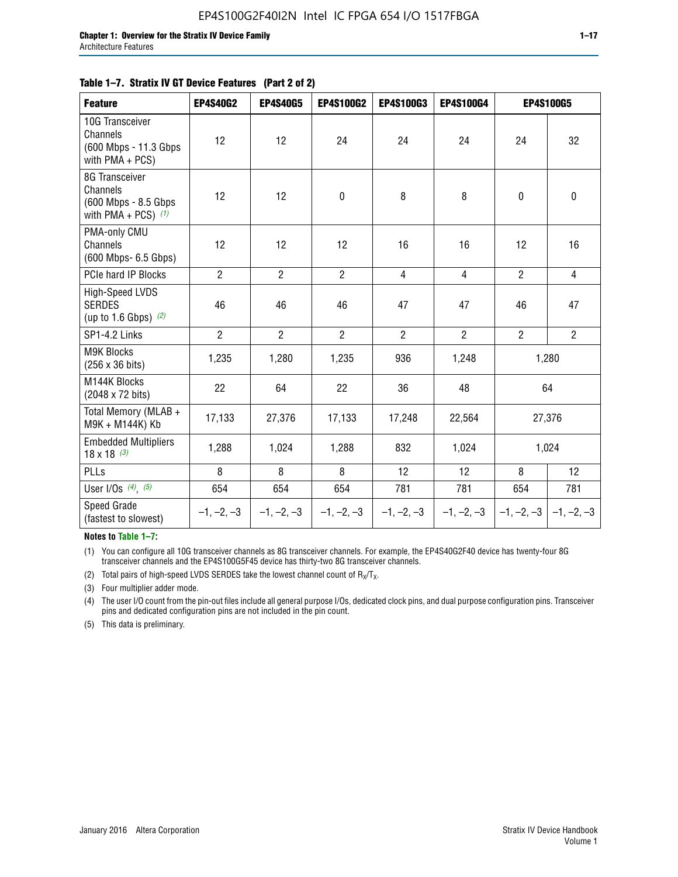#### **Table 1–7. Stratix IV GT Device Features (Part 2 of 2)**

| <b>Feature</b>                                                              | <b>EP4S40G2</b> | <b>EP4S40G5</b> | <b>EP4S100G2</b> | <b>EP4S100G3</b> | <b>EP4S100G4</b> |                | <b>EP4S100G5</b>          |
|-----------------------------------------------------------------------------|-----------------|-----------------|------------------|------------------|------------------|----------------|---------------------------|
| 10G Transceiver<br>Channels<br>(600 Mbps - 11.3 Gbps<br>with PMA + PCS)     | 12              | 12              | 24               | 24               | 24               | 24             | 32                        |
| 8G Transceiver<br>Channels<br>(600 Mbps - 8.5 Gbps<br>with PMA + PCS) $(1)$ | 12              | 12              | $\pmb{0}$        | 8                | 8                | $\mathbf 0$    | 0                         |
| PMA-only CMU<br>Channels<br>(600 Mbps- 6.5 Gbps)                            | 12              | 12              | 12               | 16               | 16               | 12             | 16                        |
| PCIe hard IP Blocks                                                         | $\overline{2}$  | $\overline{2}$  | $\overline{2}$   | $\overline{4}$   | $\overline{4}$   | $\overline{2}$ | $\overline{4}$            |
| <b>High-Speed LVDS</b><br><b>SERDES</b><br>(up to 1.6 Gbps) $(2)$           | 46              | 46              | 46               | 47               | 47               | 46             | 47                        |
| SP1-4.2 Links                                                               | $\overline{2}$  | $\overline{2}$  | $\overline{2}$   | $\overline{2}$   | $\overline{2}$   | $\overline{2}$ | $\overline{2}$            |
| <b>M9K Blocks</b><br>(256 x 36 bits)                                        | 1,235           | 1,280           | 1,235            | 936              | 1,248            |                | 1,280                     |
| M144K Blocks<br>(2048 x 72 bits)                                            | 22              | 64              | 22               | 36               | 48               |                | 64                        |
| Total Memory (MLAB +<br>M9K + M144K) Kb                                     | 17,133          | 27,376          | 17,133           | 17,248           | 22,564           |                | 27,376                    |
| <b>Embedded Multipliers</b><br>$18 \times 18^{(3)}$                         | 1,288           | 1,024           | 1,288            | 832              | 1,024            |                | 1,024                     |
| PLLs                                                                        | 8               | 8               | 8                | 12               | 12               | 8              | 12                        |
| User I/Os $(4)$ , $(5)$                                                     | 654             | 654             | 654              | 781              | 781              | 654            | 781                       |
| Speed Grade<br>(fastest to slowest)                                         | $-1, -2, -3$    | $-1, -2, -3$    | $-1, -2, -3$     | $-1, -2, -3$     | $-1, -2, -3$     |                | $-1, -2, -3$ $-1, -2, -3$ |

**Notes to Table 1–7:**

(1) You can configure all 10G transceiver channels as 8G transceiver channels. For example, the EP4S40G2F40 device has twenty-four 8G transceiver channels and the EP4S100G5F45 device has thirty-two 8G transceiver channels.

(2) Total pairs of high-speed LVDS SERDES take the lowest channel count of  $R_X/T_X$ .

(3) Four multiplier adder mode.

(4) The user I/O count from the pin-out files include all general purpose I/Os, dedicated clock pins, and dual purpose configuration pins. Transceiver pins and dedicated configuration pins are not included in the pin count.

(5) This data is preliminary.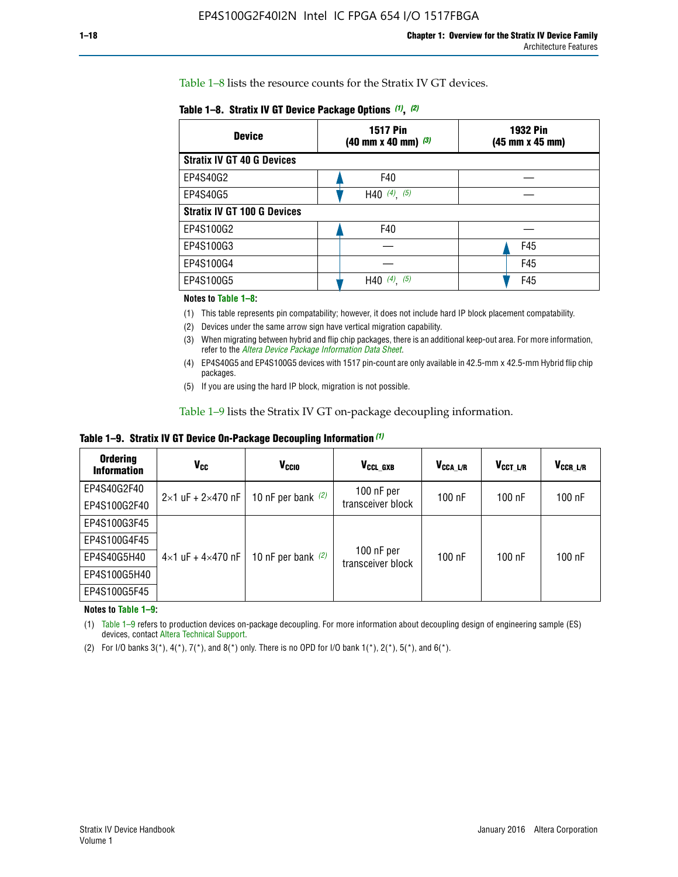Table 1–8 lists the resource counts for the Stratix IV GT devices.

| <b>Device</b>                      | <b>1517 Pin</b><br>$(40 \text{ mm} \times 40 \text{ mm})$ (3) | <b>1932 Pin</b><br>(45 mm x 45 mm) |  |
|------------------------------------|---------------------------------------------------------------|------------------------------------|--|
| <b>Stratix IV GT 40 G Devices</b>  |                                                               |                                    |  |
| EP4S40G2                           | F40                                                           |                                    |  |
| EP4S40G5                           | H40 $(4)$ , $(5)$                                             |                                    |  |
| <b>Stratix IV GT 100 G Devices</b> |                                                               |                                    |  |
| EP4S100G2                          | F40                                                           |                                    |  |
| EP4S100G3                          |                                                               | F45                                |  |
| EP4S100G4                          |                                                               | F45                                |  |
| EP4S100G5                          | (4)<br>(5)<br>H40                                             | F45                                |  |

#### **Notes to Table 1–8:**

(1) This table represents pin compatability; however, it does not include hard IP block placement compatability.

- (2) Devices under the same arrow sign have vertical migration capability.
- (3) When migrating between hybrid and flip chip packages, there is an additional keep-out area. For more information, refer to the *[Altera Device Package Information Data Sheet](http://www.altera.com/literature/ds/dspkg.pdf)*.
- (4) EP4S40G5 and EP4S100G5 devices with 1517 pin-count are only available in 42.5-mm x 42.5-mm Hybrid flip chip packages.
- (5) If you are using the hard IP block, migration is not possible.

Table 1–9 lists the Stratix IV GT on-package decoupling information.

**Table 1–9. Stratix IV GT Device On-Package Decoupling Information** *(1)*

| <b>Ordering</b><br><b>Information</b> | Vcc                                 | <b>V<sub>CCIO</sub></b> | V <sub>CCL GXB</sub>            | V <sub>CCA L/R</sub> | V <sub>CCT L/R</sub> | V <sub>CCR_L/R</sub> |
|---------------------------------------|-------------------------------------|-------------------------|---------------------------------|----------------------|----------------------|----------------------|
| EP4S40G2F40                           | $2 \times 1$ uF + $2 \times 470$ nF | 10 nF per bank $(2)$    | 100 nF per<br>transceiver block | $100$ nF             | $100$ nF             | $100$ nF             |
| EP4S100G2F40                          |                                     |                         |                                 |                      |                      |                      |
| EP4S100G3F45                          |                                     | 10 nF per bank $(2)$    | 100 nF per<br>transceiver block | $100$ nF             | $100$ nF             | $100$ nF             |
| EP4S100G4F45                          |                                     |                         |                                 |                      |                      |                      |
| EP4S40G5H40                           | $4\times1$ uF + $4\times470$ nF     |                         |                                 |                      |                      |                      |
| EP4S100G5H40                          |                                     |                         |                                 |                      |                      |                      |
| EP4S100G5F45                          |                                     |                         |                                 |                      |                      |                      |

**Notes to Table 1–9:**

(1) Table 1–9 refers to production devices on-package decoupling. For more information about decoupling design of engineering sample (ES) devices, contact [Altera Technical Support](http://mysupport.altera.com/eservice/login.asp).

(2) For I/O banks  $3(*)$ ,  $4(*)$ ,  $7(*)$ , and  $8(*)$  only. There is no OPD for I/O bank  $1(*)$ ,  $2(*)$ ,  $5(*)$ , and  $6(*)$ .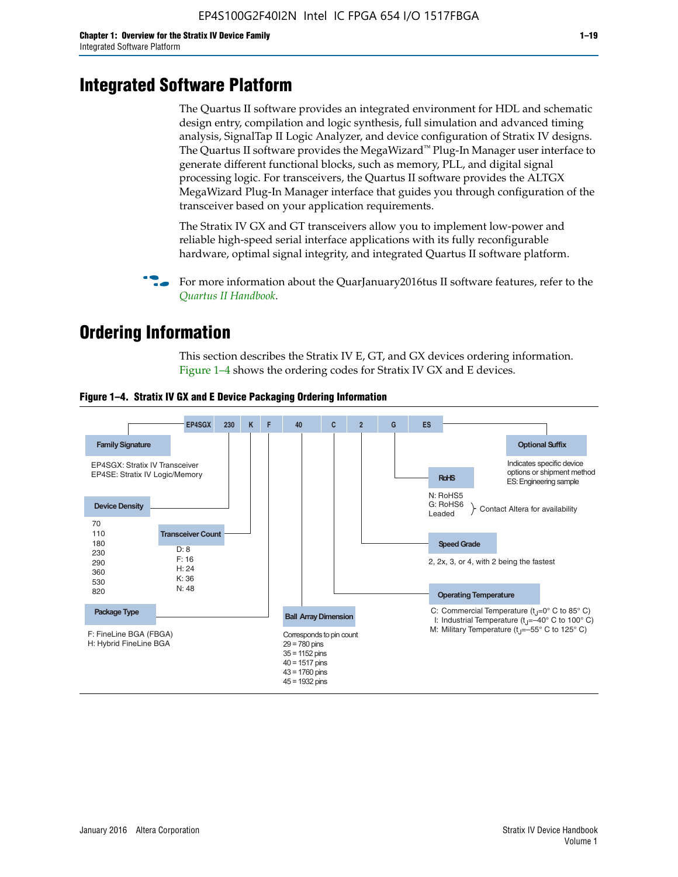# **Integrated Software Platform**

The Quartus II software provides an integrated environment for HDL and schematic design entry, compilation and logic synthesis, full simulation and advanced timing analysis, SignalTap II Logic Analyzer, and device configuration of Stratix IV designs. The Quartus II software provides the MegaWizard<sup> $M$ </sup> Plug-In Manager user interface to generate different functional blocks, such as memory, PLL, and digital signal processing logic. For transceivers, the Quartus II software provides the ALTGX MegaWizard Plug-In Manager interface that guides you through configuration of the transceiver based on your application requirements.

The Stratix IV GX and GT transceivers allow you to implement low-power and reliable high-speed serial interface applications with its fully reconfigurable hardware, optimal signal integrity, and integrated Quartus II software platform.

For more information about the QuarJanuary2016tus II software features, refer to the *[Quartus II Handbook](http://www.altera.com/literature/lit-qts.jsp)*.

# **Ordering Information**

This section describes the Stratix IV E, GT, and GX devices ordering information. Figure 1–4 shows the ordering codes for Stratix IV GX and E devices.



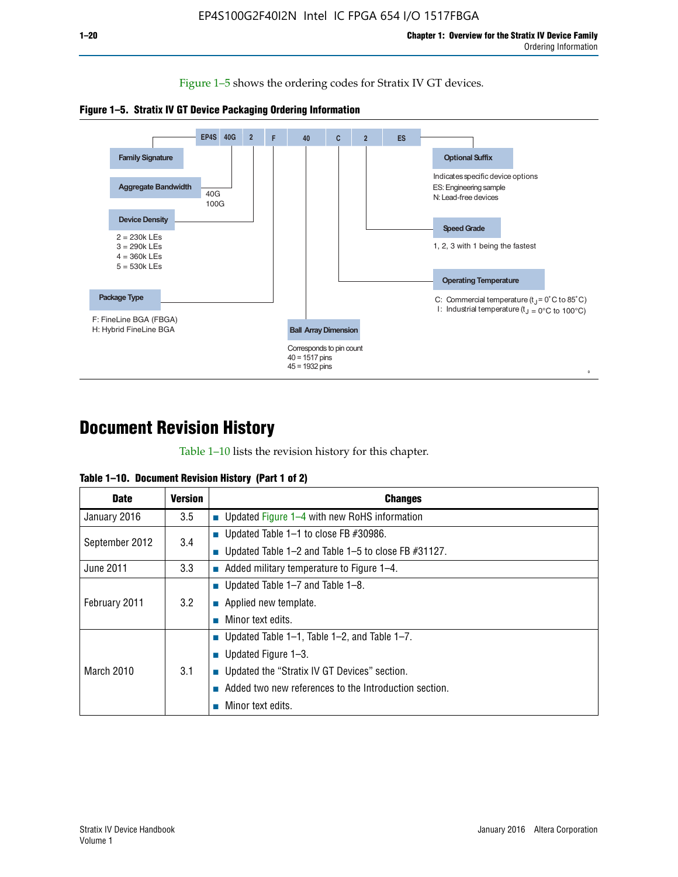Figure 1–5 shows the ordering codes for Stratix IV GT devices.





# **Document Revision History**

Table 1–10 lists the revision history for this chapter.

| Table 1–10. Document Revision History (Part 1 of 2) |  |  |  |  |  |
|-----------------------------------------------------|--|--|--|--|--|
|-----------------------------------------------------|--|--|--|--|--|

| <b>Date</b>       | <b>Version</b> | <b>Changes</b>                                              |
|-------------------|----------------|-------------------------------------------------------------|
| January 2016      | 3.5            | ■ Updated Figure 1–4 with new RoHS information              |
| September 2012    | 3.4            | ■ Updated Table 1–1 to close FB $#30986$ .                  |
|                   |                | Updated Table $1-2$ and Table $1-5$ to close FB $\#31127$ . |
| June 2011         | 3.3            | $\blacksquare$ Added military temperature to Figure 1–4.    |
| February 2011     | 3.2            | ■ Updated Table 1–7 and Table 1–8.                          |
|                   |                | $\blacksquare$ Applied new template.                        |
|                   |                | Minor text edits.                                           |
| <b>March 2010</b> |                | <b>Updated Table 1–1, Table 1–2, and Table 1–7.</b>         |
|                   |                | <b>U</b> Updated Figure 1–3.                                |
|                   | 3.1            | ■ Updated the "Stratix IV GT Devices" section.              |
|                   |                | Added two new references to the Introduction section.       |
|                   |                | Minor text edits.                                           |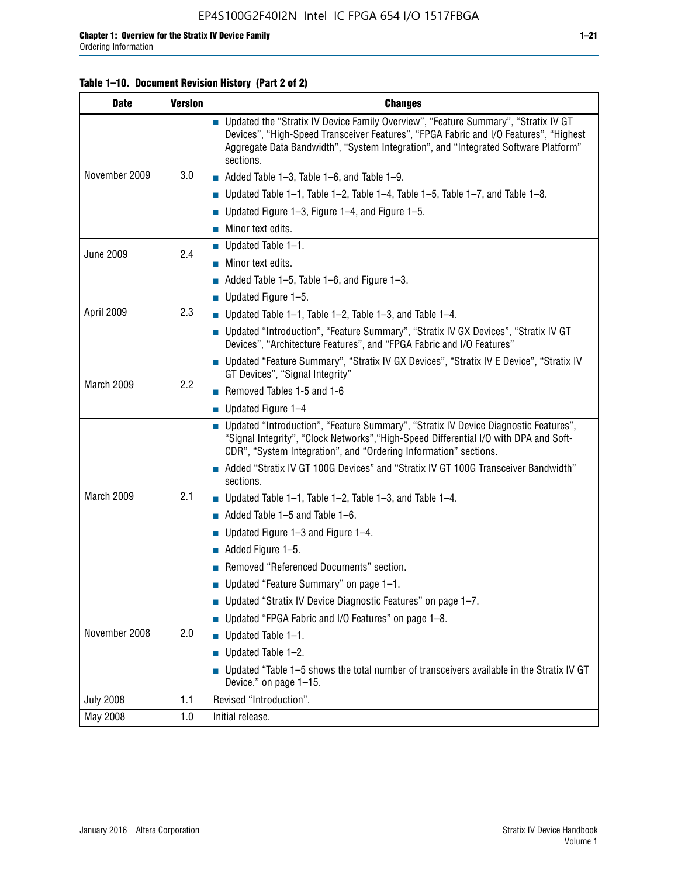#### **Table 1–10. Document Revision History (Part 2 of 2)**

| <b>Date</b>      | <b>Version</b> | <b>Changes</b>                                                                                                                                                                                                                                                                    |  |  |
|------------------|----------------|-----------------------------------------------------------------------------------------------------------------------------------------------------------------------------------------------------------------------------------------------------------------------------------|--|--|
|                  |                | ■ Updated the "Stratix IV Device Family Overview", "Feature Summary", "Stratix IV GT<br>Devices", "High-Speed Transceiver Features", "FPGA Fabric and I/O Features", "Highest<br>Aggregate Data Bandwidth", "System Integration", and "Integrated Software Platform"<br>sections. |  |  |
| November 2009    | 3.0            | $\blacksquare$ Added Table 1-3, Table 1-6, and Table 1-9.                                                                                                                                                                                                                         |  |  |
|                  |                | $\blacksquare$ Updated Table 1-1, Table 1-2, Table 1-4, Table 1-5, Table 1-7, and Table 1-8.                                                                                                                                                                                      |  |  |
|                  |                | ■ Updated Figure 1–3, Figure 1–4, and Figure 1–5.                                                                                                                                                                                                                                 |  |  |
|                  |                | $\blacksquare$ Minor text edits.                                                                                                                                                                                                                                                  |  |  |
|                  | 2.4            | $\blacksquare$ Updated Table 1-1.                                                                                                                                                                                                                                                 |  |  |
| <b>June 2009</b> |                | Minor text edits.                                                                                                                                                                                                                                                                 |  |  |
|                  |                | $\blacksquare$ Added Table 1–5, Table 1–6, and Figure 1–3.                                                                                                                                                                                                                        |  |  |
|                  |                | $\blacksquare$ Updated Figure 1-5.                                                                                                                                                                                                                                                |  |  |
| April 2009       | 2.3            | Updated Table $1-1$ , Table $1-2$ , Table $1-3$ , and Table $1-4$ .                                                                                                                                                                                                               |  |  |
|                  |                | ■ Updated "Introduction", "Feature Summary", "Stratix IV GX Devices", "Stratix IV GT<br>Devices", "Architecture Features", and "FPGA Fabric and I/O Features"                                                                                                                     |  |  |
|                  | 2.2            | ■ Updated "Feature Summary", "Stratix IV GX Devices", "Stratix IV E Device", "Stratix IV<br>GT Devices", "Signal Integrity"                                                                                                                                                       |  |  |
| March 2009       |                | Removed Tables 1-5 and 1-6                                                                                                                                                                                                                                                        |  |  |
|                  |                | Updated Figure 1-4                                                                                                                                                                                                                                                                |  |  |
|                  |                | ■ Updated "Introduction", "Feature Summary", "Stratix IV Device Diagnostic Features",<br>"Signal Integrity", "Clock Networks", "High-Speed Differential I/O with DPA and Soft-<br>CDR", "System Integration", and "Ordering Information" sections.                                |  |  |
|                  |                | Added "Stratix IV GT 100G Devices" and "Stratix IV GT 100G Transceiver Bandwidth"<br>sections.                                                                                                                                                                                    |  |  |
| March 2009       | 2.1            | <b>Updated Table 1–1, Table 1–2, Table 1–3, and Table 1–4.</b>                                                                                                                                                                                                                    |  |  |
|                  |                | $\blacksquare$ Added Table 1-5 and Table 1-6.                                                                                                                                                                                                                                     |  |  |
|                  |                | ■ Updated Figure $1-3$ and Figure $1-4$ .                                                                                                                                                                                                                                         |  |  |
|                  |                | $\blacksquare$ Added Figure 1-5.                                                                                                                                                                                                                                                  |  |  |
|                  |                | Removed "Referenced Documents" section.                                                                                                                                                                                                                                           |  |  |
|                  | 2.0            | Updated "Feature Summary" on page 1-1.                                                                                                                                                                                                                                            |  |  |
| November 2008    |                | ■ Updated "Stratix IV Device Diagnostic Features" on page 1-7.                                                                                                                                                                                                                    |  |  |
|                  |                | Updated "FPGA Fabric and I/O Features" on page 1-8.                                                                                                                                                                                                                               |  |  |
|                  |                | $\blacksquare$ Updated Table 1-1.                                                                                                                                                                                                                                                 |  |  |
|                  |                | Updated Table 1-2.                                                                                                                                                                                                                                                                |  |  |
|                  |                | Updated "Table 1-5 shows the total number of transceivers available in the Stratix IV GT<br>Device." on page 1-15.                                                                                                                                                                |  |  |
| <b>July 2008</b> | 1.1            | Revised "Introduction".                                                                                                                                                                                                                                                           |  |  |
| May 2008         | 1.0            | Initial release.                                                                                                                                                                                                                                                                  |  |  |